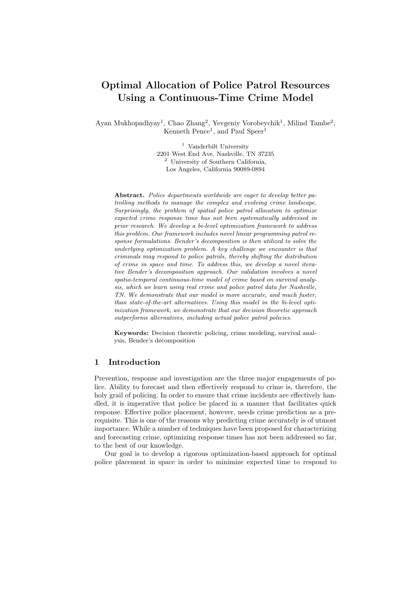# Optimal Allocation of Police Patrol Resources Using a Continuous-Time Crime Model

Ayan Mukhopadhyay<sup>1</sup>, Chao Zhang<sup>2</sup>, Yevgeniy Vorobeychik<sup>1</sup>, Milind Tambe<sup>2</sup>, Kenneth Pence<sup>1</sup>, and Paul Speer<sup>1</sup>

> <sup>1</sup> Vanderbilt University 2201 West End Ave, Nashville, TN 37235 <sup>2</sup> University of Southern California, Los Angeles, California 90089-0894

Abstract. Police departments worldwide are eager to develop better patrolling methods to manage the complex and evolving crime landscape. Surprisingly, the problem of spatial police patrol allocation to optimize expected crime response time has not been systematically addressed in prior research. We develop a bi-level optimization framework to address this problem. Our framework includes novel linear programming patrol response formulations. Bender's decomposition is then utilized to solve the underlying optimization problem. A key challenge we encounter is that criminals may respond to police patrols, thereby shifting the distribution of crime in space and time. To address this, we develop a novel iterative Bender's decomposition approach. Our validation involves a novel spatio-temporal continuous-time model of crime based on survival analysis, which we learn using real crime and police patrol data for Nashville, TN. We demonstrate that our model is more accurate, and much faster, than state-of-the-art alternatives. Using this model in the bi-level optimization framework, we demonstrate that our decision theoretic approach outperforms alternatives, including actual police patrol policies.

Keywords: Decision theoretic policing, crime modeling, survival analysis, Bender's decomposition

# 1 Introduction

Prevention, response and investigation are the three major engagements of police. Ability to forecast and then effectively respond to crime is, therefore, the holy grail of policing. In order to ensure that crime incidents are effectively handled, it is imperative that police be placed in a manner that facilitates quick response. Effective police placement, however, needs crime prediction as a prerequisite. This is one of the reasons why predicting crime accurately is of utmost importance. While a number of techniques have been proposed for characterizing and forecasting crime, optimizing response times has not been addressed so far, to the best of our knowledge.

Our goal is to develop a rigorous optimization-based approach for optimal police placement in space in order to minimize expected time to respond to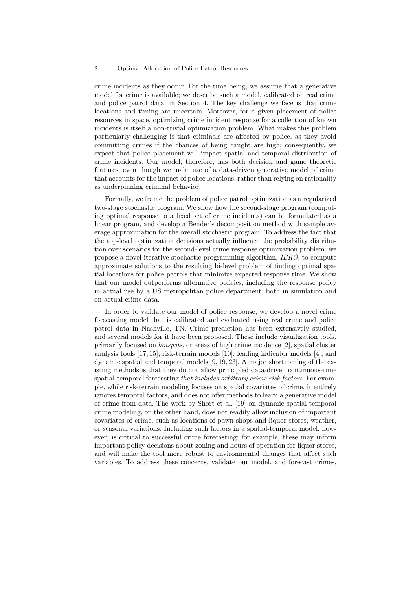crime incidents as they occur. For the time being, we assume that a generative model for crime is available; we describe such a model, calibrated on real crime and police patrol data, in Section 4. The key challenge we face is that crime locations and timing are uncertain. Moreover, for a given placement of police resources in space, optimizing crime incident response for a collection of known incidents is itself a non-trivial optimization problem. What makes this problem particularly challenging is that criminals are affected by police, as they avoid committing crimes if the chances of being caught are high; consequently, we expect that police placement will impact spatial and temporal distribution of crime incidents. Our model, therefore, has both decision and game theoretic features, even though we make use of a data-driven generative model of crime that accounts for the impact of police locations, rather than relying on rationality as underpinning criminal behavior.

Formally, we frame the problem of police patrol optimization as a regularized two-stage stochastic program. We show how the second-stage program (computing optimal response to a fixed set of crime incidents) can be formulated as a linear program, and develop a Bender's decomposition method with sample average approximation for the overall stochastic program. To address the fact that the top-level optimization decisions actually influence the probability distribution over scenarios for the second-level crime response optimization problem, we propose a novel iterative stochastic programming algorithm, IBRO, to compute approximate solutions to the resulting bi-level problem of finding optimal spatial locations for police patrols that minimize expected response time. We show that our model outperforms alternative policies, including the response policy in actual use by a US metropolitan police department, both in simulation and on actual crime data.

In order to validate our model of police response, we develop a novel crime forecasting model that is calibrated and evaluated using real crime and police patrol data in Nashville, TN. Crime prediction has been extensively studied, and several models for it have been proposed. These include visualization tools, primarily focused on hotspots, or areas of high crime incidence [2], spatial cluster analysis tools [17, 15], risk-terrain models [10], leading indicator models [4], and dynamic spatial and temporal models [9, 19, 23]. A major shortcoming of the existing methods is that they do not allow principled data-driven continuous-time spatial-temporal forecasting that includes arbitrary crime risk factors. For example, while risk-terrain modeling focuses on spatial covariates of crime, it entirely ignores temporal factors, and does not offer methods to learn a generative model of crime from data. The work by Short et al. [19] on dynamic spatial-temporal crime modeling, on the other hand, does not readily allow inclusion of important covariates of crime, such as locations of pawn shops and liquor stores, weather, or seasonal variations. Including such factors in a spatial-temporal model, however, is critical to successful crime forecasting: for example, these may inform important policy decisions about zoning and hours of operation for liquor stores, and will make the tool more robust to environmental changes that affect such variables. To address these concerns, validate our model, and forecast crimes,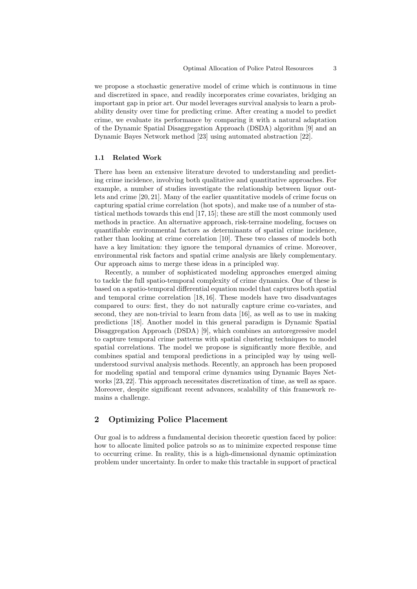we propose a stochastic generative model of crime which is continuous in time and discretized in space, and readily incorporates crime covariates, bridging an important gap in prior art. Our model leverages survival analysis to learn a probability density over time for predicting crime. After creating a model to predict crime, we evaluate its performance by comparing it with a natural adaptation of the Dynamic Spatial Disaggregation Approach (DSDA) algorithm [9] and an Dynamic Bayes Network method [23] using automated abstraction [22].

# 1.1 Related Work

There has been an extensive literature devoted to understanding and predicting crime incidence, involving both qualitative and quantitative approaches. For example, a number of studies investigate the relationship between liquor outlets and crime [20, 21]. Many of the earlier quantitative models of crime focus on capturing spatial crime correlation (hot spots), and make use of a number of statistical methods towards this end [17, 15]; these are still the most commonly used methods in practice. An alternative approach, risk-terraine modeling, focuses on quantifiable environmental factors as determinants of spatial crime incidence, rather than looking at crime correlation [10]. These two classes of models both have a key limitation: they ignore the temporal dynamics of crime. Moreover, environmental risk factors and spatial crime analysis are likely complementary. Our approach aims to merge these ideas in a principled way.

Recently, a number of sophisticated modeling approaches emerged aiming to tackle the full spatio-temporal complexity of crime dynamics. One of these is based on a spatio-temporal differential equation model that captures both spatial and temporal crime correlation [18, 16]. These models have two disadvantages compared to ours: first, they do not naturally capture crime co-variates, and second, they are non-trivial to learn from data [16], as well as to use in making predictions [18]. Another model in this general paradigm is Dynamic Spatial Disaggregation Approach (DSDA) [9], which combines an autoregressive model to capture temporal crime patterns with spatial clustering techniques to model spatial correlations. The model we propose is significantly more flexible, and combines spatial and temporal predictions in a principled way by using wellunderstood survival analysis methods. Recently, an approach has been proposed for modeling spatial and temporal crime dynamics using Dynamic Bayes Networks [23, 22]. This approach necessitates discretization of time, as well as space. Moreover, despite significant recent advances, scalability of this framework remains a challenge.

# 2 Optimizing Police Placement

Our goal is to address a fundamental decision theoretic question faced by police: how to allocate limited police patrols so as to minimize expected response time to occurring crime. In reality, this is a high-dimensional dynamic optimization problem under uncertainty. In order to make this tractable in support of practical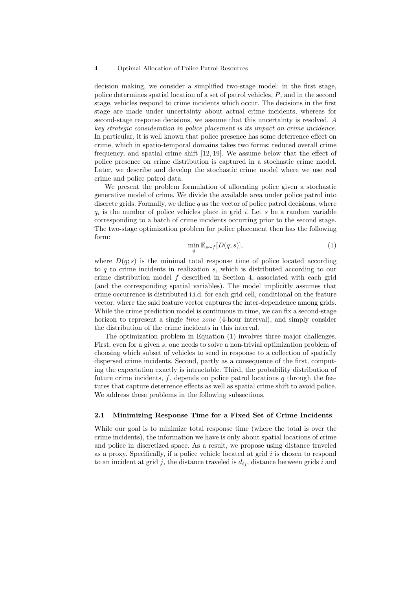decision making, we consider a simplified two-stage model: in the first stage, police determines spatial location of a set of patrol vehicles, P, and in the second stage, vehicles respond to crime incidents which occur. The decisions in the first stage are made under uncertainty about actual crime incidents, whereas for second-stage response decisions, we assume that this uncertainty is resolved. A key strategic consideration in police placement is its impact on crime incidence. In particular, it is well known that police presence has some deterrence effect on crime, which in spatio-temporal domains takes two forms: reduced overall crime frequency, and spatial crime shift [12, 19]. We assume below that the effect of police presence on crime distribution is captured in a stochastic crime model. Later, we describe and develop the stochastic crime model where we use real crime and police patrol data.

We present the problem formulation of allocating police given a stochastic generative model of crime. We divide the available area under police patrol into discrete grids. Formally, we define  $q$  as the vector of police patrol decisions, where  $q_i$  is the number of police vehicles place in grid i. Let s be a random variable corresponding to a batch of crime incidents occurring prior to the second stage. The two-stage optimization problem for police placement then has the following form:

$$
\min_{q} \mathbb{E}_{s \sim f}[D(q; s)],\tag{1}
$$

where  $D(q; s)$  is the minimal total response time of police located according to  $q$  to crime incidents in realization  $s$ , which is distributed according to our crime distribution model  $f$  described in Section 4, associated with each grid (and the corresponding spatial variables). The model implicitly assumes that crime occurrence is distributed i.i.d. for each grid cell, conditional on the feature vector, where the said feature vector captures the inter-dependence among grids. While the crime prediction model is continuous in time, we can fix a second-stage horizon to represent a single *time zone* (4-hour interval), and simply consider the distribution of the crime incidents in this interval.

The optimization problem in Equation (1) involves three major challenges. First, even for a given s, one needs to solve a non-trivial optimization problem of choosing which subset of vehicles to send in response to a collection of spatially dispersed crime incidents. Second, partly as a consequence of the first, computing the expectation exactly is intractable. Third, the probability distribution of future crime incidents,  $f$ , depends on police patrol locations  $q$  through the features that capture deterrence effects as well as spatial crime shift to avoid police. We address these problems in the following subsections.

#### 2.1 Minimizing Response Time for a Fixed Set of Crime Incidents

While our goal is to minimize total response time (where the total is over the crime incidents), the information we have is only about spatial locations of crime and police in discretized space. As a result, we propose using distance traveled as a proxy. Specifically, if a police vehicle located at grid  $i$  is chosen to respond to an incident at grid j, the distance traveled is  $d_{ij}$ , distance between grids i and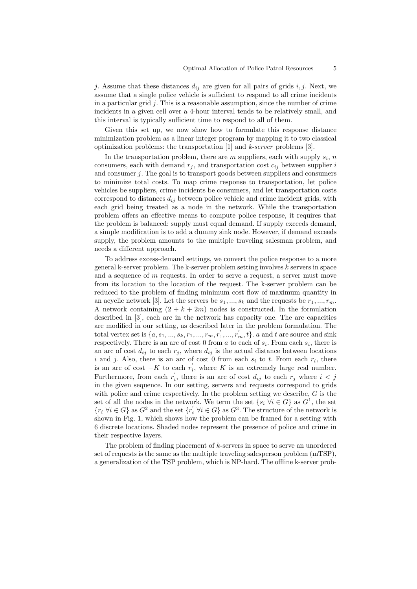j. Assume that these distances  $d_{ij}$  are given for all pairs of grids i, j. Next, we assume that a single police vehicle is sufficient to respond to all crime incidents in a particular grid  $j$ . This is a reasonable assumption, since the number of crime incidents in a given cell over a 4-hour interval tends to be relatively small, and this interval is typically sufficient time to respond to all of them.

Given this set up, we now show how to formulate this response distance minimization problem as a linear integer program by mapping it to two classical optimization problems: the transportation [1] and k-server problems [3].

In the transportation problem, there are  $m$  suppliers, each with supply  $s_i$ ,  $n$ consumers, each with demand  $r_i$ , and transportation cost  $c_{ij}$  between supplier i and consumer j. The goal is to transport goods between suppliers and consumers to minimize total costs. To map crime response to transportation, let police vehicles be suppliers, crime incidents be consumers, and let transportation costs correspond to distances  $d_{ij}$  between police vehicle and crime incident grids, with each grid being treated as a node in the network. While the transportation problem offers an effective means to compute police response, it requires that the problem is balanced: supply must equal demand. If supply exceeds demand, a simple modification is to add a dummy sink node. However, if demand exceeds supply, the problem amounts to the multiple traveling salesman problem, and needs a different approach.

To address excess-demand settings, we convert the police response to a more general k-server problem. The k-server problem setting involves k servers in space and a sequence of m requests. In order to serve a request, a server must move from its location to the location of the request. The k-server problem can be reduced to the problem of finding minimum cost flow of maximum quantity in an acyclic network [3]. Let the servers be  $s_1, ..., s_k$  and the requests be  $r_1, ..., r_m$ . A network containing  $(2 + k + 2m)$  nodes is constructed. In the formulation described in [3], each arc in the network has capacity one. The arc capacities are modified in our setting, as described later in the problem formulation. The total vertex set is  $\{a, s_1, ..., s_k, r_1, ..., r_m, r'_1, ..., r'_m, t\}$ . a and t are source and sink respectively. There is an arc of cost 0 from  $a$  to each of  $s_i$ . From each  $s_i$ , there is an arc of cost  $d_{ij}$  to each  $r_j$ , where  $d_{ij}$  is the actual distance between locations i and j. Also, there is an arc of cost 0 from each  $s_i$  to t. From each  $r_i$ , there is an arc of cost  $-K$  to each  $r'_{i}$ , where K is an extremely large real number. Furthermore, from each  $r_i^{'}$ , there is an arc of cost  $d_{ij}$  to each  $r_j$  where  $i < j$ in the given sequence. In our setting, servers and requests correspond to grids with police and crime respectively. In the problem setting we describe,  $G$  is the set of all the nodes in the network. We term the set  $\{s_i \; \forall i \in G\}$  as  $G^1$ , the set  $\{r_i \; \forall i \in G\}$  as  $G^2$  and the set  $\{r'_i \; \forall i \in G\}$  as  $G^3$ . The structure of the network is shown in Fig. 1, which shows how the problem can be framed for a setting with 6 discrete locations. Shaded nodes represent the presence of police and crime in their respective layers.

The problem of finding placement of  $k$ -servers in space to serve an unordered set of requests is the same as the multiple traveling salesperson problem (mTSP), a generalization of the TSP problem, which is NP-hard. The offline k-server prob-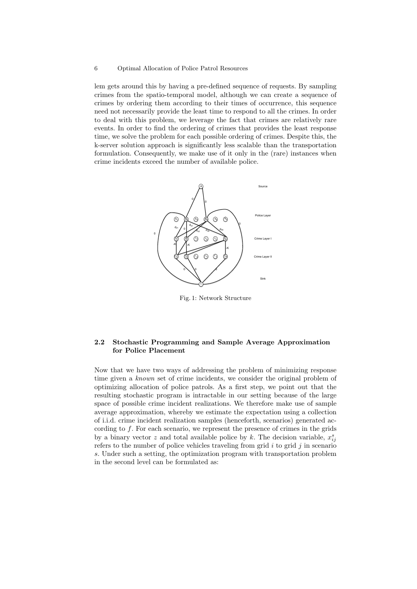lem gets around this by having a pre-defined sequence of requests. By sampling crimes from the spatio-temporal model, although we can create a sequence of crimes by ordering them according to their times of occurrence, this sequence need not necessarily provide the least time to respond to all the crimes. In order to deal with this problem, we leverage the fact that crimes are relatively rare events. In order to find the ordering of crimes that provides the least response time, we solve the problem for each possible ordering of crimes. Despite this, the k-server solution approach is significantly less scalable than the transportation formulation. Consequently, we make use of it only in the (rare) instances when crime incidents exceed the number of available police.



Fig. 1: Network Structure

# 2.2 Stochastic Programming and Sample Average Approximation for Police Placement

Now that we have two ways of addressing the problem of minimizing response time given a known set of crime incidents, we consider the original problem of optimizing allocation of police patrols. As a first step, we point out that the resulting stochastic program is intractable in our setting because of the large space of possible crime incident realizations. We therefore make use of sample average approximation, whereby we estimate the expectation using a collection of i.i.d. crime incident realization samples (henceforth, scenarios) generated according to f. For each scenario, we represent the presence of crimes in the grids by a binary vector z and total available police by  $k$ . The decision variable,  $x_{ij}^s$ refers to the number of police vehicles traveling from grid  $i$  to grid  $j$  in scenario s. Under such a setting, the optimization program with transportation problem in the second level can be formulated as: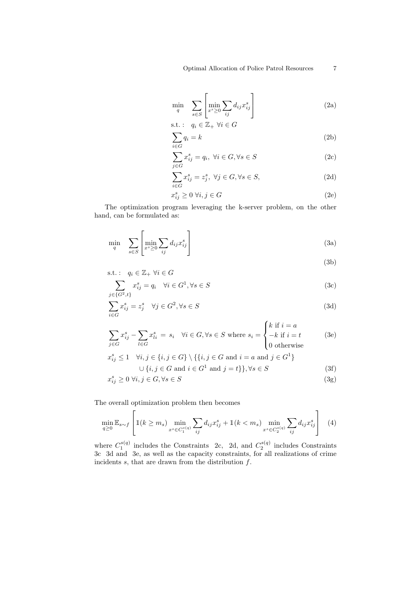$$
\min_{q} \sum_{s \in S} \left[ \min_{x^s \ge 0} \sum_{ij} d_{ij} x_{ij}^s \right]
$$
\n
$$
\text{s.t.}: \quad q_i \in \mathbb{Z}_+ \ \forall i \in G \tag{2a}
$$

$$
s.t. . q_i \in \mathbb{Z}_+ \ \forall \, i \in \mathcal{G}
$$

$$
\sum_{i \in G} q_i = k \tag{2b}
$$

$$
\sum_{j \in G} x_{ij}^s = q_i, \ \forall i \in G, \forall s \in S \tag{2c}
$$

$$
\sum_{i \in G} x_{ij}^s = z_j^s, \ \forall j \in G, \forall s \in S,
$$
\n(2d)

$$
x_{ij}^s \ge 0 \,\,\forall i,j \in G \tag{2e}
$$

The optimization program leveraging the k-server problem, on the other hand, can be formulated as:

$$
\min_{q} \sum_{s \in S} \left[ \min_{x^s \ge 0} \sum_{ij} d_{ij} x_{ij}^s \right]
$$
\n(3a)

$$
\text{s.t.}: \quad q_i \in \mathbb{Z}_+ \ \forall i \in G
$$

$$
\sum_{j \in \{G^2, t\}} x_{ij}^s = q_i \quad \forall i \in G^1, \forall s \in S \tag{3c}
$$

$$
\sum_{i \in G} x_{ij}^s = z_j^s \quad \forall j \in G^2, \forall s \in S \tag{3d}
$$

$$
\sum_{j \in G} x_{ij}^s - \sum_{l \in G} x_{li}^s = s_i \quad \forall i \in G, \forall s \in S \text{ where } s_i = \begin{cases} k \text{ if } i = a \\ -k \text{ if } i = t \\ 0 \text{ otherwise} \end{cases}
$$
 (3e)

$$
x_{ij}^s \le 1 \quad \forall i, j \in \{i, j \in G\} \setminus \{\{i, j \in G \text{ and } i = a \text{ and } j \in G^1\}
$$

$$
\cup \{i, j \in G \text{ and } i \in G^1 \text{ and } j = t\}, \forall s \in S
$$
(3f)

$$
x_{ij}^s \ge 0 \,\,\forall i, j \in G, \forall s \in S \tag{3g}
$$

The overall optimization problem then becomes

$$
\min_{q\geq 0} \mathbb{E}_{s \sim f} \left[ \mathbb{1}(k \geq m_s) \min_{x^s \in C_1^{s(q)}} \sum_{ij} d_{ij} x_{ij}^s + \mathbb{1}(k < m_s) \min_{x^s \in C_2^{s(q)}} \sum_{ij} d_{ij} x_{ij}^s \right] \tag{4}
$$

where  $C_1^{s(q)}$  includes the Constraints 2c, 2d, and  $C_2^{s(q)}$  includes Constraints 3c 3d and 3e, as well as the capacity constraints, for all realizations of crime incidents  $s$ , that are drawn from the distribution  $f$ .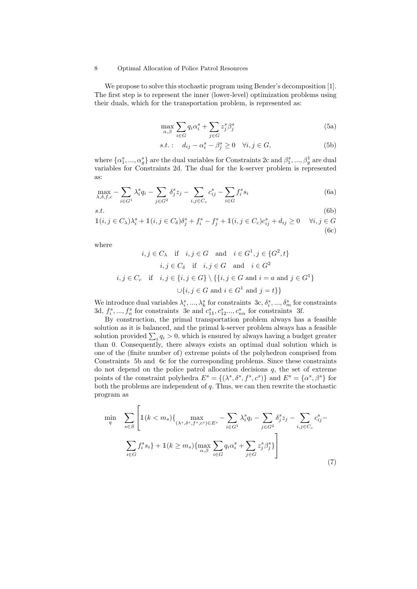We propose to solve this stochastic program using Bender's decomposition [1]. The first step is to represent the inner (lower-level) optimization problems using their duals, which for the transportation problem, is represented as:

$$
\max_{\alpha,\beta} \sum_{i \in G} q_i \alpha_i^s + \sum_{j \in G} z_j^s \beta_j^s \tag{5a}
$$

 $s.t. : d_{ij} - \alpha_i^s - \beta_j^s \ge 0 \quad \forall i, j \in G,$  (5b)

where  $\{\alpha_1^s, ..., \alpha_g^s\}$  are the dual variables for Constraints 2c and  $\beta_1^s, ..., \beta_g^1$  are dual variables for Constraints 2d. The dual for the k-server problem is represented as:

$$
\max_{\lambda,\delta,f,c} -\sum_{i \in G^1} \lambda_i^s q_i - \sum_{j \in G^2} \delta_j^s z_j - \sum_{i,j \in C_c} c_{ij}^s - \sum_{i \in G} f_i^s s_i \tag{6a}
$$

$$
s.t. \t\t(6b)
$$

$$
\mathbb{1}(i, j \in C_{\lambda})\lambda_i^s + \mathbb{1}(i, j \in C_{\delta})\delta_j^s + f_i^s - f_j^s + \mathbb{1}(i, j \in C_c)c_{ij}^s + d_{ij} \ge 0 \quad \forall i, j \in G
$$
\n(6c)

where

$$
i, j \in C_{\lambda} \quad \text{if} \quad i, j \in G \quad \text{and} \quad i \in G^1, j \in \{G^2, t\}
$$
\n
$$
i, j \in C_{\delta} \quad \text{if} \quad i, j \in G \quad \text{and} \quad i \in G^2
$$
\n
$$
i, j \in C_c \quad \text{if} \quad i, j \in \{i, j \in G\} \setminus \{\{i, j \in G \text{ and } i = a \text{ and } j \in G^1\}
$$
\n
$$
\cup \{i, j \in G \text{ and } i \in G^1 \text{ and } j = t\}\}
$$

We introduce dual variables  $\lambda_i^s, ..., \lambda_k^s$  for constraints  $3c, \delta_i^s, ..., \delta_m^s$  for constraints 3d,  $f_i^s, ..., f_n^s$  for constraints 3e and  $c_{11}^s, c_{12}^s, ..., c_{nn}^s$  for constraints 3f.

By construction, the primal transportation problem always has a feasible solution as it is balanced, and the primal k-server problem always has a feasible solution provided  $\sum_i q_i > 0$ , which is ensured by always having a budget greater than 0. Consequently, there always exists an optimal dual solution which is one of the (finite number of) extreme points of the polyhedron comprised from Constraints 5b and 6c for the corresponding problems. Since these constraints do not depend on the police patrol allocation decisions  $q$ , the set of extreme points of the constraint polyhedra  $E^s = \{(\lambda^s, \delta^s, f^s, c^s)\}\$ and  $E^s = \{\alpha^s, \beta^s\}\$ for both the problems are independent of  $q$ . Thus, we can then rewrite the stochastic program as

$$
\min_{q} \sum_{s \in S} \left[ \mathbb{1}(k < m_s) \{ \max_{(\lambda^s, \delta^s, f^s, c^s) \in E^s} - \sum_{i \in G^1} \lambda_i^s q_i - \sum_{j \in G^2} \delta_j^s z_j - \sum_{i, j \in C_c} c_{ij}^s - \sum_{i \in G} f_i^s s_i \} + \mathbb{1}(k \ge m_s) \{ \max_{\alpha, \beta} \sum_{i \in G} q_i \alpha_i^s + \sum_{j \in G} z_j^s \beta_j^s \} \right] \tag{7}
$$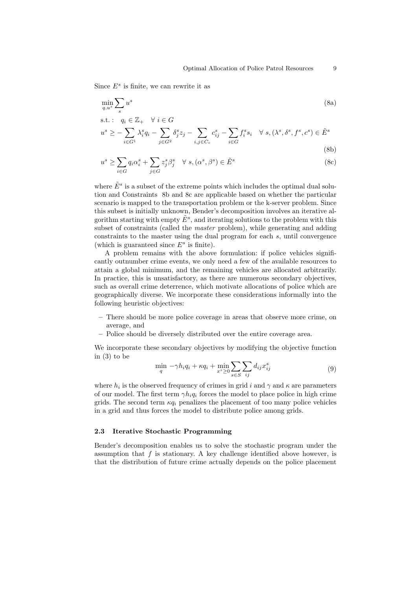Since  $E^s$  is finite, we can rewrite it as

$$
\min_{q,u^s} \sum_s u^s
$$
\n
$$
s.t. : q_i \in \mathbb{Z}_+ \quad \forall \ i \in G
$$
\n
$$
(8a)
$$

$$
u^s \ge -\sum_{i \in G^1} \lambda_i^s q_i - \sum_{j \in G^2} \delta_j^s z_j - \sum_{i,j \in C_c} c_{ij}^s - \sum_{i \in G} f_i^s s_i \quad \forall s, (\lambda^s, \delta^s, f^s, c^s) \in \tilde{E}^s
$$
\n(8b)

$$
u^s \ge \sum_{i \in G} q_i \alpha_i^s + \sum_{j \in G} z_j^s \beta_j^s \quad \forall s, (\alpha^s, \beta^s) \in \tilde{E}^s
$$
 (8c)

where  $\tilde{E}^s$  is a subset of the extreme points which includes the optimal dual solution and Constraints 8b and 8c are applicable based on whether the particular scenario is mapped to the transportation problem or the k-server problem. Since this subset is initially unknown, Bender's decomposition involves an iterative algorithm starting with empty  $\tilde{E}^s$ , and iterating solutions to the problem with this subset of constraints (called the *master* problem), while generating and adding constraints to the master using the dual program for each s, until convergence (which is guaranteed since  $E^s$  is finite).

A problem remains with the above formulation: if police vehicles significantly outnumber crime events, we only need a few of the available resources to attain a global minimum, and the remaining vehicles are allocated arbitrarily. In practice, this is unsatisfactory, as there are numerous secondary objectives, such as overall crime deterrence, which motivate allocations of police which are geographically diverse. We incorporate these considerations informally into the following heuristic objectives:

- There should be more police coverage in areas that observe more crime, on average, and
- Police should be diversely distributed over the entire coverage area.

We incorporate these secondary objectives by modifying the objective function in (3) to be

$$
\min_{q} -\gamma h_i q_i + \kappa q_i + \min_{x^s \ge 0} \sum_{s \in S} \sum_{ij} d_{ij} x_{ij}^s \tag{9}
$$

where  $h_i$  is the observed frequency of crimes in grid i and  $\gamma$  and  $\kappa$  are parameters of our model. The first term  $\gamma h_i q_i$  forces the model to place police in high crime grids. The second term  $\kappa q_i$  penalizes the placement of too many police vehicles in a grid and thus forces the model to distribute police among grids.

### 2.3 Iterative Stochastic Programming

Bender's decomposition enables us to solve the stochastic program under the assumption that  $f$  is stationary. A key challenge identified above however, is that the distribution of future crime actually depends on the police placement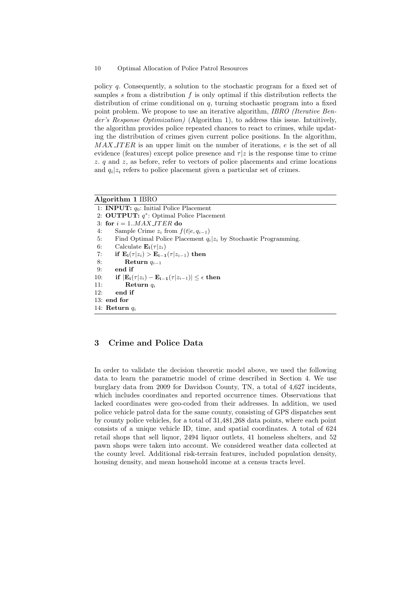policy q. Consequently, a solution to the stochastic program for a fixed set of samples s from a distribution  $f$  is only optimal if this distribution reflects the distribution of crime conditional on q, turning stochastic program into a fixed point problem. We propose to use an iterative algorithm, IBRO (Iterative Bender's Response Optimization) (Algorithm 1), to address this issue. Intuitively, the algorithm provides police repeated chances to react to crimes, while updating the distribution of crimes given current police positions. In the algorithm,  $MAX \perp TER$  is an upper limit on the number of iterations, e is the set of all evidence (features) except police presence and  $\tau | z$  is the response time to crime z. q and z, as before, refer to vectors of police placements and crime locations and  $q_i | z_i$  refers to police placement given a particular set of crimes.

# Algorithm 1 IBRO

1: **INPUT:**  $q_0$ : Initial Police Placement 2: **OUTPUT:**  $q^*$ : Optimal Police Placement 3: for  $i = 1..MAX\_ITER$  do 4: Sample Crime  $z_i$  from  $f(t|e, q_{i-1})$ 5: Find Optimal Police Placement  $q_i|z_i$  by Stochastic Programming. 6: Calculate  $\mathbf{E}_{\mathbf{i}}(\tau | z_i)$ 7: if  ${\bf E_i}(\tau |z_i) > {\bf E_{i-1}}(\tau |z_{i-1})$  then 8: Return  $q_{i-1}$ 9: end if 10: **if**  $|\mathbf{E_i}(\tau | z_i) - \mathbf{E_{i-1}}(\tau | z_{i-1})| \leq \epsilon$  then 11: **Return**  $q_i$ 12: end if 13: end for 14: Return  $q_i$ 

# 3 Crime and Police Data

In order to validate the decision theoretic model above, we used the following data to learn the parametric model of crime described in Section 4. We use burglary data from 2009 for Davidson County, TN, a total of 4,627 incidents, which includes coordinates and reported occurrence times. Observations that lacked coordinates were geo-coded from their addresses. In addition, we used police vehicle patrol data for the same county, consisting of GPS dispatches sent by county police vehicles, for a total of 31,481,268 data points, where each point consists of a unique vehicle ID, time, and spatial coordinates. A total of 624 retail shops that sell liquor, 2494 liquor outlets, 41 homeless shelters, and 52 pawn shops were taken into account. We considered weather data collected at the county level. Additional risk-terrain features, included population density, housing density, and mean household income at a census tracts level.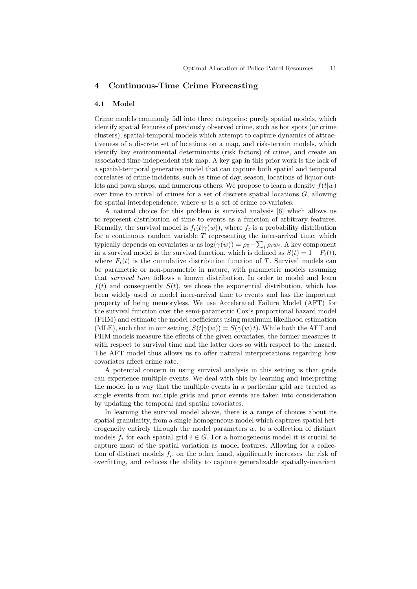# 4 Continuous-Time Crime Forecasting

# 4.1 Model

Crime models commonly fall into three categories: purely spatial models, which identify spatial features of previously observed crime, such as hot spots (or crime clusters), spatial-temporal models which attempt to capture dynamics of attractiveness of a discrete set of locations on a map, and risk-terrain models, which identify key environmental determinants (risk factors) of crime, and create an associated time-independent risk map. A key gap in this prior work is the lack of a spatial-temporal generative model that can capture both spatial and temporal correlates of crime incidents, such as time of day, season, locations of liquor outlets and pawn shops, and numerous others. We propose to learn a density  $f(t|w)$ over time to arrival of crimes for a set of discrete spatial locations  $G$ , allowing for spatial interdependence, where  $w$  is a set of crime co-variates.

A natural choice for this problem is survival analysis [6] which allows us to represent distribution of time to events as a function of arbitrary features. Formally, the survival model is  $f_t(t|\gamma(w))$ , where  $f_t$  is a probability distribution for a continuous random variable  $T$  representing the inter-arrival time, which typically depends on covariates w as  $\log(\gamma(w)) = \rho_0 + \sum_i \rho_i w_i$ . A key component in a survival model is the survival function, which is defined as  $S(t) = 1 - F_t(t)$ , where  $F_t(t)$  is the cumulative distribution function of T. Survival models can be parametric or non-parametric in nature, with parametric models assuming that survival time follows a known distribution. In order to model and learn  $f(t)$  and consequently  $S(t)$ , we chose the exponential distribution, which has been widely used to model inter-arrival time to events and has the important property of being memoryless. We use Accelerated Failure Model (AFT) for the survival function over the semi-parametric Cox's proportional hazard model (PHM) and estimate the model coefficients using maximum likelihood estimation (MLE), such that in our setting,  $S(t|\gamma(w)) = S(\gamma(w) t)$ . While both the AFT and PHM models measure the effects of the given covariates, the former measures it with respect to survival time and the latter does so with respect to the hazard. The AFT model thus allows us to offer natural interpretations regarding how covariates affect crime rate.

A potential concern in using survival analysis in this setting is that grids can experience multiple events. We deal with this by learning and interpreting the model in a way that the multiple events in a particular grid are treated as single events from multiple grids and prior events are taken into consideration by updating the temporal and spatial covariates.

In learning the survival model above, there is a range of choices about its spatial granularity, from a single homogeneous model which captures spatial heterogeneity entirely through the model parameters  $w$ , to a collection of distinct models  $f_i$  for each spatial grid  $i \in G$ . For a homogeneous model it is crucial to capture most of the spatial variation as model features. Allowing for a collection of distinct models  $f_i$ , on the other hand, significantly increases the risk of overfitting, and reduces the ability to capture generalizable spatially-invariant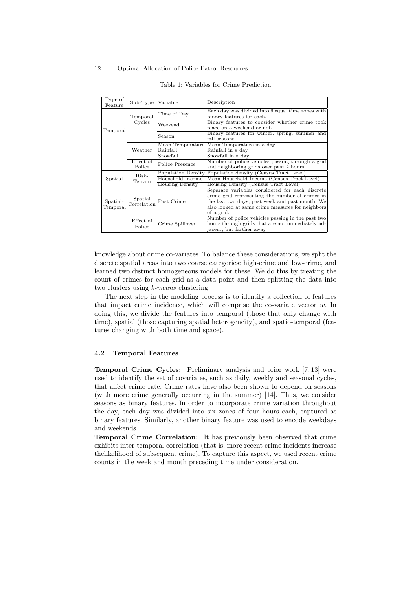| Type of<br>Feature   | $Sub-Type$             | Variable           | Description                                                                                                                                                                                                             |
|----------------------|------------------------|--------------------|-------------------------------------------------------------------------------------------------------------------------------------------------------------------------------------------------------------------------|
| Temporal             | Temporal<br>Cycles     | Time of Day        | Each day was divided into 6 equal time zones with<br>binary features for each.                                                                                                                                          |
|                      |                        | Weekend            | Binary features to consider whether crime took<br>place on a weekend or not.                                                                                                                                            |
|                      |                        | Season             | Binary features for winter, spring, summer and<br>fall seasons.                                                                                                                                                         |
|                      | Weather                | Mean Temperature   | Mean Temperature in a day                                                                                                                                                                                               |
|                      |                        | Rainfall           | Rainfall in a day                                                                                                                                                                                                       |
|                      |                        | Snowfall           | Snowfall in a day                                                                                                                                                                                                       |
|                      | Effect of              | Police Presence    | Number of police vehicles passing through a grid                                                                                                                                                                        |
|                      | Police                 |                    | and neighboring grids over past 2 hours                                                                                                                                                                                 |
| Spatial              | Risk-<br>Terrain       | Population Density | Population density (Census Tract Level)                                                                                                                                                                                 |
|                      |                        | Household Income   | Mean Household Income (Census Tract Level)                                                                                                                                                                              |
|                      |                        | Housing Density    | Housing Density (Census Tract Level)                                                                                                                                                                                    |
| Spatial-<br>Temporal | Spatial<br>Correlation | Past Crime         | Separate variables considered for each discrete<br>crime grid representing the number of crimes in<br>the last two days, past week and past month. We<br>also looked at same crime measures for neighbors<br>of a grid. |
|                      | Effect of<br>Police    | Crime Spillover    | Number of police vehicles passing in the past two<br>hours through grids that are not immediately ad-<br>jacent, but farther away.                                                                                      |

Table 1: Variables for Crime Prediction

knowledge about crime co-variates. To balance these considerations, we split the discrete spatial areas into two coarse categories: high-crime and low-crime, and learned two distinct homogeneous models for these. We do this by treating the count of crimes for each grid as a data point and then splitting the data into two clusters using k-means clustering.

The next step in the modeling process is to identify a collection of features that impact crime incidence, which will comprise the co-variate vector  $w$ . In doing this, we divide the features into temporal (those that only change with time), spatial (those capturing spatial heterogeneity), and spatio-temporal (features changing with both time and space).

#### 4.2 Temporal Features

Temporal Crime Cycles: Preliminary analysis and prior work [7, 13] were used to identify the set of covariates, such as daily, weekly and seasonal cycles, that affect crime rate. Crime rates have also been shown to depend on seasons (with more crime generally occurring in the summer) [14]. Thus, we consider seasons as binary features. In order to incorporate crime variation throughout the day, each day was divided into six zones of four hours each, captured as binary features. Similarly, another binary feature was used to encode weekdays and weekends.

Temporal Crime Correlation: It has previously been observed that crime exhibits inter-temporal correlation (that is, more recent crime incidents increase thelikelihood of subsequent crime). To capture this aspect, we used recent crime counts in the week and month preceding time under consideration.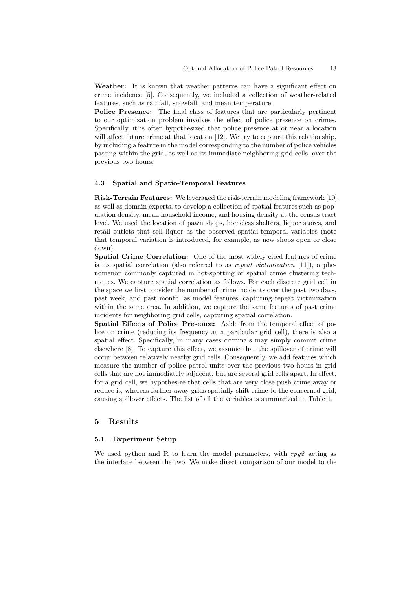Weather: It is known that weather patterns can have a significant effect on crime incidence [5]. Consequently, we included a collection of weather-related features, such as rainfall, snowfall, and mean temperature.

Police Presence: The final class of features that are particularly pertinent to our optimization problem involves the effect of police presence on crimes. Specifically, it is often hypothesized that police presence at or near a location will affect future crime at that location [12]. We try to capture this relationship, by including a feature in the model corresponding to the number of police vehicles passing within the grid, as well as its immediate neighboring grid cells, over the previous two hours.

#### 4.3 Spatial and Spatio-Temporal Features

Risk-Terrain Features: We leveraged the risk-terrain modeling framework [10], as well as domain experts, to develop a collection of spatial features such as population density, mean household income, and housing density at the census tract level. We used the location of pawn shops, homeless shelters, liquor stores, and retail outlets that sell liquor as the observed spatial-temporal variables (note that temporal variation is introduced, for example, as new shops open or close down).

Spatial Crime Correlation: One of the most widely cited features of crime is its spatial correlation (also referred to as repeat victimization [11]), a phenomenon commonly captured in hot-spotting or spatial crime clustering techniques. We capture spatial correlation as follows. For each discrete grid cell in the space we first consider the number of crime incidents over the past two days, past week, and past month, as model features, capturing repeat victimization within the same area. In addition, we capture the same features of past crime incidents for neighboring grid cells, capturing spatial correlation.

Spatial Effects of Police Presence: Aside from the temporal effect of police on crime (reducing its frequency at a particular grid cell), there is also a spatial effect. Specifically, in many cases criminals may simply commit crime elsewhere [8]. To capture this effect, we assume that the spillover of crime will occur between relatively nearby grid cells. Consequently, we add features which measure the number of police patrol units over the previous two hours in grid cells that are not immediately adjacent, but are several grid cells apart. In effect, for a grid cell, we hypothesize that cells that are very close push crime away or reduce it, whereas farther away grids spatially shift crime to the concerned grid, causing spillover effects. The list of all the variables is summarized in Table 1.

# 5 Results

# 5.1 Experiment Setup

We used python and R to learn the model parameters, with  $rpy2$  acting as the interface between the two. We make direct comparison of our model to the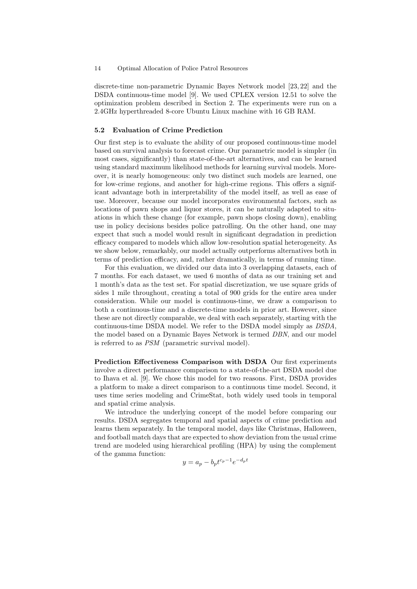discrete-time non-parametric Dynamic Bayes Network model [23, 22] and the DSDA continuous-time model [9]. We used CPLEX version 12.51 to solve the optimization problem described in Section 2. The experiments were run on a 2.4GHz hyperthreaded 8-core Ubuntu Linux machine with 16 GB RAM.

#### 5.2 Evaluation of Crime Prediction

Our first step is to evaluate the ability of our proposed continuous-time model based on survival analysis to forecast crime. Our parametric model is simpler (in most cases, significantly) than state-of-the-art alternatives, and can be learned using standard maximum likelihood methods for learning survival models. Moreover, it is nearly homogeneous: only two distinct such models are learned, one for low-crime regions, and another for high-crime regions. This offers a significant advantage both in interpretability of the model itself, as well as ease of use. Moreover, because our model incorporates environmental factors, such as locations of pawn shops and liquor stores, it can be naturally adapted to situations in which these change (for example, pawn shops closing down), enabling use in policy decisions besides police patrolling. On the other hand, one may expect that such a model would result in significant degradation in prediction efficacy compared to models which allow low-resolution spatial heterogeneity. As we show below, remarkably, our model actually outperforms alternatives both in terms of prediction efficacy, and, rather dramatically, in terms of running time.

For this evaluation, we divided our data into 3 overlapping datasets, each of 7 months. For each dataset, we used 6 months of data as our training set and 1 month's data as the test set. For spatial discretization, we use square grids of sides 1 mile throughout, creating a total of 900 grids for the entire area under consideration. While our model is continuous-time, we draw a comparison to both a continuous-time and a discrete-time models in prior art. However, since these are not directly comparable, we deal with each separately, starting with the continuous-time DSDA model. We refer to the DSDA model simply as DSDA, the model based on a Dynamic Bayes Network is termed DBN, and our model is referred to as PSM (parametric survival model).

Prediction Effectiveness Comparison with DSDA Our first experiments involve a direct performance comparison to a state-of-the-art DSDA model due to Ihava et al. [9]. We chose this model for two reasons. First, DSDA provides a platform to make a direct comparison to a continuous time model. Second, it uses time series modeling and CrimeStat, both widely used tools in temporal and spatial crime analysis.

We introduce the underlying concept of the model before comparing our results. DSDA segregates temporal and spatial aspects of crime prediction and learns them separately. In the temporal model, days like Christmas, Halloween, and football match days that are expected to show deviation from the usual crime trend are modeled using hierarchical profiling (HPA) by using the complement of the gamma function:

$$
y = a_p - b_p t^{c_p - 1} e^{-d_p t}
$$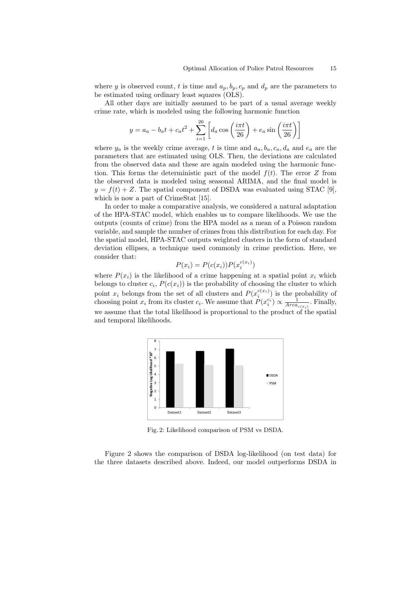where y is observed count, t is time and  $a_p, b_p, c_p$  and  $d_p$  are the parameters to be estimated using ordinary least squares (OLS).

All other days are initially assumed to be part of a usual average weekly crime rate, which is modeled using the following harmonic function

$$
y = a_a - b_a t + c_a t^2 + \sum_{i=1}^{26} \left[ d_a \cos \left( \frac{i \pi t}{26} \right) + e_a \sin \left( \frac{i \pi t}{26} \right) \right]
$$

where  $y_a$  is the weekly crime average, t is time and  $a_a, b_a, c_a, d_a$  and  $e_a$  are the parameters that are estimated using OLS. Then, the deviations are calculated from the observed data and these are again modeled using the harmonic function. This forms the deterministic part of the model  $f(t)$ . The error Z from the observed data is modeled using seasonal ARIMA, and the final model is  $y = f(t) + Z$ . The spatial component of DSDA was evaluated using STAC [9], which is now a part of CrimeStat [15].

In order to make a comparative analysis, we considered a natural adaptation of the HPA-STAC model, which enables us to compare likelihoods. We use the outputs (counts of crime) from the HPA model as a mean of a Poisson random variable, and sample the number of crimes from this distribution for each day. For the spatial model, HPA-STAC outputs weighted clusters in the form of standard deviation ellipses, a technique used commonly in crime prediction. Here, we consider that:

$$
P(x_i) = P(c(x_i))P(x_i^{c(x_i)})
$$

where  $P(x_i)$  is the likelihood of a crime happening at a spatial point  $x_i$  which belongs to cluster  $c_i$ ,  $P(c(x_i))$  is the probability of choosing the cluster to which point  $x_i$  belongs from the set of all clusters and  $P(x_i^{c(x_i)})$  is the probability of choosing point  $x_i$  from its cluster  $c_i$ . We assume that  $P(x_i^{c_i}) \propto \frac{1}{Area_{c(x_i)}}$ . Finally, we assume that the total likelihood is proportional to the product of the spatial and temporal likelihoods.



Fig. 2: Likelihood comparison of PSM vs DSDA.

Figure 2 shows the comparison of DSDA log-likelihood (on test data) for the three datasets described above. Indeed, our model outperforms DSDA in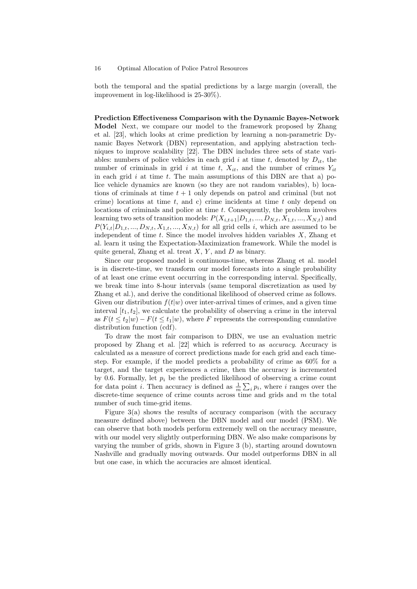both the temporal and the spatial predictions by a large margin (overall, the improvement in log-likelihood is 25-30%).

Prediction Effectiveness Comparison with the Dynamic Bayes-Network Model Next, we compare our model to the framework proposed by Zhang et al. [23], which looks at crime prediction by learning a non-parametric Dynamic Bayes Network (DBN) representation, and applying abstraction techniques to improve scalability [22]. The DBN includes three sets of state variables: numbers of police vehicles in each grid i at time t, denoted by  $D_{it}$ , the number of criminals in grid i at time t,  $X_{it}$ , and the number of crimes  $Y_{it}$ in each grid  $i$  at time  $t$ . The main assumptions of this DBN are that a) police vehicle dynamics are known (so they are not random variables), b) locations of criminals at time  $t + 1$  only depends on patrol and criminal (but not crime) locations at time  $t$ , and c) crime incidents at time  $t$  only depend on locations of criminals and police at time t. Consequently, the problem involves learning two sets of transition models:  $P(X_{i,t+1}|D_{1,t},...,D_{N,t},X_{1,t},...,X_{N,t})$  and  $P(Y_{i,t}|D_{1,t},...,D_{N,t},X_{1,t},...,X_{N,t})$  for all grid cells i, which are assumed to be independent of time  $t$ . Since the model involves hidden variables  $X$ , Zhang et al. learn it using the Expectation-Maximization framework. While the model is quite general, Zhang et al. treat  $X, Y$ , and  $D$  as binary.

Since our proposed model is continuous-time, whereas Zhang et al. model is in discrete-time, we transform our model forecasts into a single probability of at least one crime event occurring in the corresponding interval. Specifically, we break time into 8-hour intervals (same temporal discretization as used by Zhang et al.), and derive the conditional likelihood of observed crime as follows. Given our distribution  $f(t|w)$  over inter-arrival times of crimes, and a given time interval  $[t_1, t_2]$ , we calculate the probability of observing a crime in the interval as  $F(t \leq t_2|w) - F(t \leq t_1|w)$ , where F represents the corresponding cumulative distribution function (cdf).

To draw the most fair comparison to DBN, we use an evaluation metric proposed by Zhang et al. [22] which is referred to as accuracy. Accuracy is calculated as a measure of correct predictions made for each grid and each timestep. For example, if the model predicts a probability of crime as 60% for a target, and the target experiences a crime, then the accuracy is incremented by 0.6. Formally, let  $p_i$  be the predicted likelihood of observing a crime count for data point *i*. Then accuracy is defined as  $\frac{1}{m} \sum_i p_i$ , where *i* ranges over the discrete-time sequence of crime counts across time and grids and  $m$  the total number of such time-grid items.

Figure 3(a) shows the results of accuracy comparison (with the accuracy measure defined above) between the DBN model and our model (PSM). We can observe that both models perform extremely well on the accuracy measure, with our model very slightly outperforming DBN. We also make comparisons by varying the number of grids, shown in Figure 3 (b), starting around downtown Nashville and gradually moving outwards. Our model outperforms DBN in all but one case, in which the accuracies are almost identical.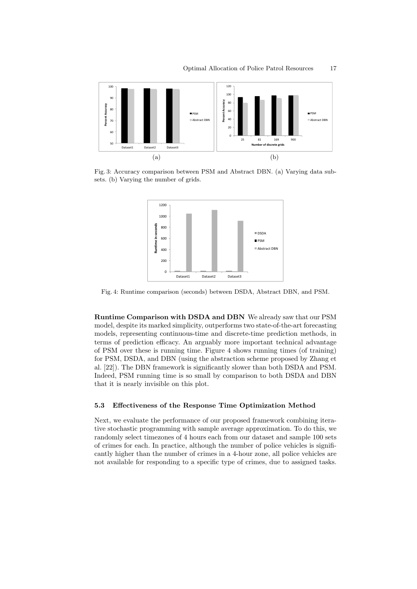

Fig. 3: Accuracy comparison between PSM and Abstract DBN. (a) Varying data subsets. (b) Varying the number of grids.



Fig. 4: Runtime comparison (seconds) between DSDA, Abstract DBN, and PSM.

Runtime Comparison with DSDA and DBN We already saw that our PSM model, despite its marked simplicity, outperforms two state-of-the-art forecasting models, representing continuous-time and discrete-time prediction methods, in terms of prediction efficacy. An arguably more important technical advantage of PSM over these is running time. Figure 4 shows running times (of training) for PSM, DSDA, and DBN (using the abstraction scheme proposed by Zhang et al. [22]). The DBN framework is significantly slower than both DSDA and PSM. Indeed, PSM running time is so small by comparison to both DSDA and DBN that it is nearly invisible on this plot.

#### 5.3 Effectiveness of the Response Time Optimization Method

Next, we evaluate the performance of our proposed framework combining iterative stochastic programming with sample average approximation. To do this, we randomly select timezones of 4 hours each from our dataset and sample 100 sets of crimes for each. In practice, although the number of police vehicles is significantly higher than the number of crimes in a 4-hour zone, all police vehicles are not available for responding to a specific type of crimes, due to assigned tasks.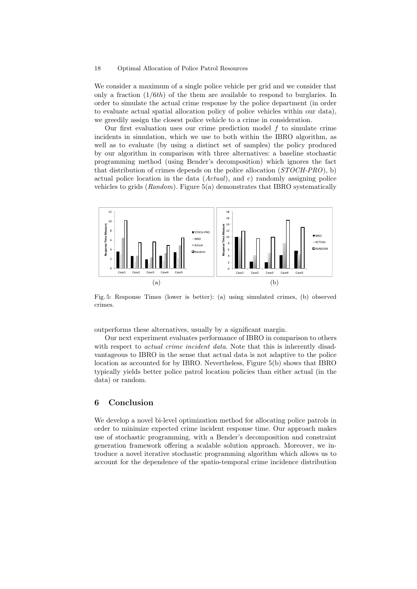We consider a maximum of a single police vehicle per grid and we consider that only a fraction  $(1/6th)$  of the them are available to respond to burglaries. In order to simulate the actual crime response by the police department (in order to evaluate actual spatial allocation policy of police vehicles within our data), we greedily assign the closest police vehicle to a crime in consideration.

Our first evaluation uses our crime prediction model  $f$  to simulate crime incidents in simulation, which we use to both within the IBRO algorithm, as well as to evaluate (by using a distinct set of samples) the policy produced by our algorithm in comparison with three alternatives: a baseline stochastic programming method (using Bender's decomposition) which ignores the fact that distribution of crimes depends on the police allocation (STOCH-PRO), b) actual police location in the data (Actual), and c) randomly assigning police vehicles to grids  $(Random)$ . Figure  $5(a)$  demonstrates that IBRO systematically



Fig. 5: Response Times (lower is better): (a) using simulated crimes, (b) observed crimes.

outperforms these alternatives, usually by a significant margin.

Our next experiment evaluates performance of IBRO in comparison to others with respect to *actual crime incident data*. Note that this is inherently disadvantageous to IBRO in the sense that actual data is not adaptive to the police location as accounted for by IBRO. Nevertheless, Figure 5(b) shows that IBRO typically yields better police patrol location policies than either actual (in the data) or random.

# 6 Conclusion

We develop a novel bi-level optimization method for allocating police patrols in order to minimize expected crime incident response time. Our approach makes use of stochastic programming, with a Bender's decomposition and constraint generation framework offering a scalable solution approach. Moreover, we introduce a novel iterative stochastic programming algorithm which allows us to account for the dependence of the spatio-temporal crime incidence distribution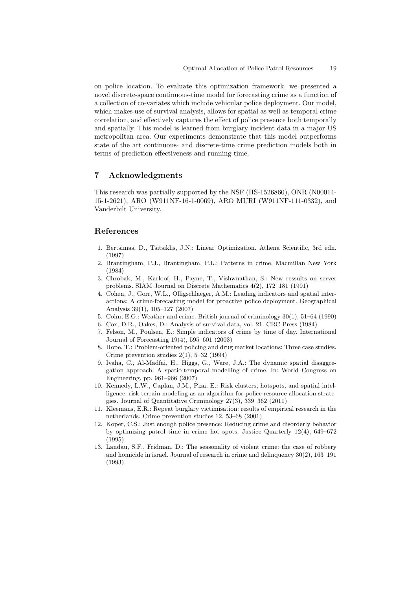on police location. To evaluate this optimization framework, we presented a novel discrete-space continuous-time model for forecasting crime as a function of a collection of co-variates which include vehicular police deployment. Our model, which makes use of survival analysis, allows for spatial as well as temporal crime correlation, and effectively captures the effect of police presence both temporally and spatially. This model is learned from burglary incident data in a major US metropolitan area. Our experiments demonstrate that this model outperforms state of the art continuous- and discrete-time crime prediction models both in terms of prediction effectiveness and running time.

# 7 Acknowledgments

This research was partially supported by the NSF (IIS-1526860), ONR (N00014- 15-1-2621), ARO (W911NF-16-1-0069), ARO MURI (W911NF-111-0332), and Vanderbilt University.

# References

- 1. Bertsimas, D., Tsitsiklis, J.N.: Linear Optimization. Athena Scientific, 3rd edn. (1997)
- 2. Brantingham, P.J., Brantingham, P.L.: Patterns in crime. Macmillan New York (1984)
- 3. Chrobak, M., Karloof, H., Payne, T., Vishwnathan, S.: New ressults on server problems. SIAM Journal on Discrete Mathematics 4(2), 172–181 (1991)
- 4. Cohen, J., Gorr, W.L., Olligschlaeger, A.M.: Leading indicators and spatial interactions: A crime-forecasting model for proactive police deployment. Geographical Analysis 39(1), 105–127 (2007)
- 5. Cohn, E.G.: Weather and crime. British journal of criminology 30(1), 51–64 (1990)
- 6. Cox, D.R., Oakes, D.: Analysis of survival data, vol. 21. CRC Press (1984)
- 7. Felson, M., Poulsen, E.: Simple indicators of crime by time of day. International Journal of Forecasting 19(4), 595–601 (2003)
- 8. Hope, T.: Problem-oriented policing and drug market locations: Three case studies. Crime prevention studies 2(1), 5–32 (1994)
- 9. Ivaha, C., Al-Madfai, H., Higgs, G., Ware, J.A.: The dynamic spatial disaggregation approach: A spatio-temporal modelling of crime. In: World Congress on Engineering. pp. 961–966 (2007)
- 10. Kennedy, L.W., Caplan, J.M., Piza, E.: Risk clusters, hotspots, and spatial intelligence: risk terrain modeling as an algorithm for police resource allocation strategies. Journal of Quantitative Criminology 27(3), 339–362 (2011)
- 11. Kleemans, E.R.: Repeat burglary victimisation: results of empirical research in the netherlands. Crime prevention studies 12, 53–68 (2001)
- 12. Koper, C.S.: Just enough police presence: Reducing crime and disorderly behavior by optimizing patrol time in crime hot spots. Justice Quarterly 12(4), 649–672 (1995)
- 13. Landau, S.F., Fridman, D.: The seasonality of violent crime: the case of robbery and homicide in israel. Journal of research in crime and delinquency 30(2), 163–191 (1993)